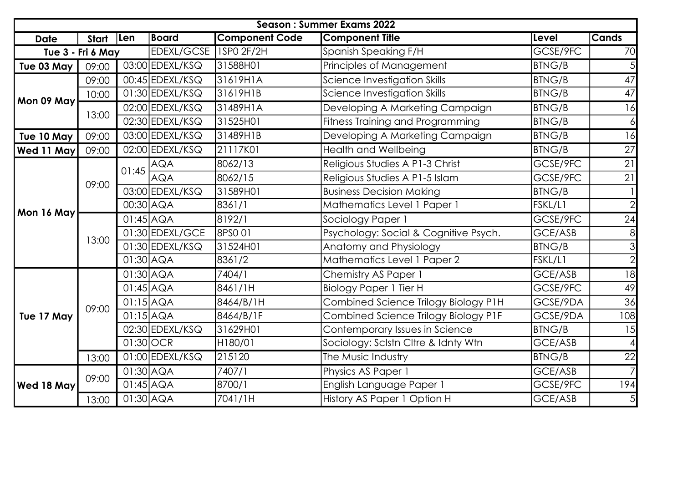| <b>Season: Summer Exams 2022</b> |                   |                        |                   |                       |                                       |                                      |                                 |                 |    |
|----------------------------------|-------------------|------------------------|-------------------|-----------------------|---------------------------------------|--------------------------------------|---------------------------------|-----------------|----|
| <b>Date</b>                      | Start             | Len                    | <b>Board</b>      | <b>Component Code</b> | <b>Component Title</b>                | Level                                | <b>Cands</b>                    |                 |    |
|                                  | Tue 3 - Fri 6 May |                        | EDEXL/GCSE        | 1SP0 2F/2H            | Spanish Speaking F/H                  | GCSE/9FC                             | 70                              |                 |    |
| Tue 03 May                       | 09:00             |                        | $03:00$ EDEXL/KSQ | 31588H01              | Principles of Management              | <b>BTNG/B</b>                        |                                 |                 |    |
|                                  | 09:00             |                        | $00:45$ EDEXL/KSQ | 31619H1A              | Science Investigation Skills          | <b>BTNG/B</b>                        | 47                              |                 |    |
|                                  | 10:00             |                        | $01:30$ EDEXL/KSQ | 31619H1B              | Science Investigation Skills          | <b>BTNG/B</b>                        | $\overline{47}$                 |                 |    |
| Mon 09 May                       | 13:00             |                        | $02:00$ EDEXL/KSQ | 31489H1A              | Developing A Marketing Campaign       | <b>BTNG/B</b>                        | 16                              |                 |    |
|                                  |                   |                        | 02:30 EDEXL/KSQ   | 31525H01              | Fitness Training and Programming      | <b>BTNG/B</b>                        |                                 |                 |    |
| Tue 10 May                       | 09:00             |                        | $03:00$ EDEXL/KSQ | 31489H1B              | Developing A Marketing Campaign       | <b>BTNG/B</b>                        | 16                              |                 |    |
| <b>Wed 11 May</b>                | 09:00             |                        | 02:00 EDEXL/KSQ   | 21117K01              | <b>Health and Wellbeing</b>           | <b>BTNG/B</b>                        | $\overline{27}$                 |                 |    |
|                                  | 09:00             |                        |                   | 01:45                 | <b>AQA</b>                            | 8062/13                              | Religious Studies A P1-3 Christ | GCSE/9FC        | 21 |
|                                  |                   |                        | <b>AQA</b>        | 8062/15               | Religious Studies A P1-5 Islam        | GCSE/9FC                             | $\overline{21}$                 |                 |    |
|                                  |                   |                        | 03:00 EDEXL/KSQ   | 31589H01              | <b>Business Decision Making</b>       | <b>BTNG/B</b>                        |                                 |                 |    |
| Mon 16 May                       |                   | 00:30 AQA              |                   | 8361/1                | Mathematics Level 1 Paper 1           | FSKL/L1                              |                                 |                 |    |
|                                  |                   | $\overline{01:}45$ AQA |                   | 8192/1                | Sociology Paper 1                     | GCSE/9FC                             | 24                              |                 |    |
|                                  |                   |                        | 01:30 EDEXL/GCE   | 8PSO 01               | Psychology: Social & Cognitive Psych. | GCE/ASB                              |                                 |                 |    |
|                                  | 13:00             |                        | 01:30 EDEXL/KSQ   | 31524H01              | Anatomy and Physiology                | <b>BTNG/B</b>                        |                                 |                 |    |
|                                  |                   | $01:30$ $AQA$          |                   | 8361/2                | Mathematics Level 1 Paper 2           | FSKL/L1                              |                                 |                 |    |
|                                  | 09:00             | $01:30$ $AQA$          |                   | 7404/1                | Chemistry AS Paper 1                  | GCE/ASB                              | 18                              |                 |    |
|                                  |                   |                        | $01:45$ $AQA$     |                       | 8461/1H                               | <b>Biology Paper 1 Tier H</b>        | GCSE/9FC                        | 49              |    |
|                                  |                   |                        | $01:15$ $AQA$     |                       | 8464/B/1H                             | Combined Science Trilogy Biology P1H | GCSE/9DA                        | $\overline{36}$ |    |
| Tue 17 May                       |                   |                        | $01:15$ $AQA$     |                       | 8464/B/1F                             | Combined Science Trilogy Biology P1F | GCSE/9DA                        | 108             |    |
|                                  |                   |                        |                   | 02:30 EDEXL/KSQ       | 31629H01                              | Contemporary Issues in Science       | <b>BTNG/B</b>                   | 15              |    |
|                                  |                   | $01:30$ OCR            |                   | H180/01               | Sociology: Sclstn Cltre & Idnty Wtn   | GCE/ASB                              |                                 |                 |    |
|                                  | 13:00             |                        | 01:00 EDEXL/KSQ   | 215120                | The Music Industry                    | <b>BTNG/B</b>                        | 22                              |                 |    |
|                                  | 09:00             | $01:30$ $AQA$          |                   | 7407/1                | Physics AS Paper 1                    | GCE/ASB                              |                                 |                 |    |
| <b>Wed 18 May</b>                |                   | $01:45$ $AQA$          |                   | 8700/1                | English Language Paper 1              | GCSE/9FC                             | 194                             |                 |    |
|                                  | 13:00             | $01:30$ AQA            |                   | 7041/1H               | History AS Paper 1 Option H           | GCE/ASB                              | 5 <sub>l</sub>                  |                 |    |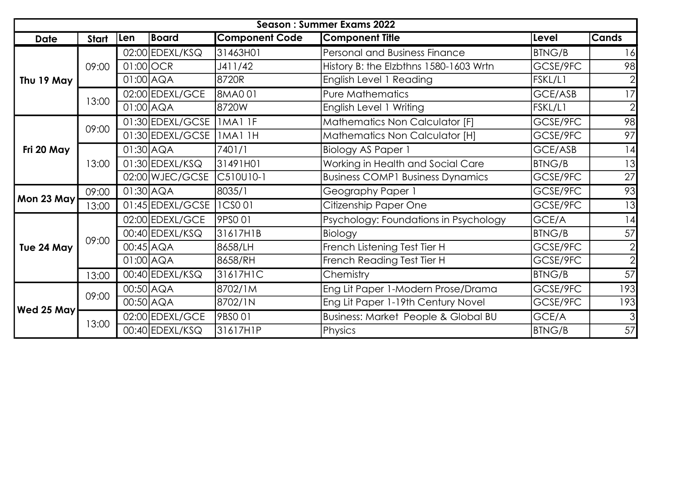| Season: Summer Exams 2022 |       |               |                     |                       |                                                |               |              |
|---------------------------|-------|---------------|---------------------|-----------------------|------------------------------------------------|---------------|--------------|
| <b>Date</b>               | Start | Len           | Board               | <b>Component Code</b> | <b>Component Title</b>                         | Level         | <b>Cands</b> |
| Thu 19 May                |       |               | $02:00$ EDEXL/KSQ   | 31463H01              | Personal and Business Finance                  | <b>BTNG/B</b> | 16           |
|                           | 09:00 | $01:00$ OCR   |                     | J411/42               | History B: the Elzbthns 1580-1603 Wrtn         | GCSE/9FC      | 98           |
|                           |       | $01:00$ AQA   |                     | 8720R                 | English Level 1 Reading                        | FSKL/L1       |              |
|                           | 13:00 |               | 02:00 EDEXL/GCE     | 8MA001                | <b>Pure Mathematics</b>                        | GCE/ASB       |              |
|                           |       | $01:00$ AQA   |                     | 8720W                 | English Level 1 Writing                        | FSKL/L1       |              |
|                           |       |               | 01:30 EDEXL/GCSE    | IMAI IF               | Mathematics Non Calculator [F]                 | GCSE/9FC      | 98           |
|                           | 09:00 |               | 01:30 EDEXL/GCSE    | <b>IMA1 1H</b>        | Mathematics Non Calculator [H]                 | GCSE/9FC      | 97           |
| Fri 20 May                | 13:00 | $01:30$ $AQA$ |                     | 7401/1                | <b>Biology AS Paper 1</b>                      | GCE/ASB       | 14           |
|                           |       |               | $01:30$ EDEXL/KSQ   | 31491H01              | Working in Health and Social Care              | <b>BTNG/B</b> | 13           |
|                           |       |               | 02:00 WJEC/GCSE     | C510U10-1             | <b>Business COMP1 Business Dynamics</b>        | GCSE/9FC      | 27           |
|                           | 09:00 | $01:30$ $AQA$ |                     | 8035/1                | Geography Paper 1                              | GCSE/9FC      | 93           |
| Mon 23 May                | 13:00 |               | $01:45$  EDEXL/GCSE | <b>ICSO01</b>         | Citizenship Paper One                          | GCSE/9FC      | 13           |
|                           | 09:00 |               | 02:00 EDEXL/GCE     | 9PSO 01               | Psychology: Foundations in Psychology          | GCE/A         | 14           |
|                           |       |               | $00:40$ EDEXL/KSQ   | 31617H1B              | Biology                                        | <b>BTNG/B</b> | 57           |
| Tue 24 May                |       | $00:45$ $AQA$ |                     | 8658/LH               | French Listening Test Tier H                   | GCSE/9FC      |              |
|                           |       | $01:00$ AQA   |                     | 8658/RH               | French Reading Test Tier H                     | GCSE/9FC      |              |
|                           | 13:00 |               | 00:40 EDEXL/KSQ     | 31617H1C              | Chemistry                                      | <b>BTNG/B</b> | 57           |
| Wed 25 May                | 09:00 | $00:50$ $AQA$ |                     | 8702/1M               | Eng Lit Paper 1-Modern Prose/Drama             | GCSE/9FC      | 193          |
|                           |       | 00:50 AQA     |                     | 8702/1N               | Eng Lit Paper 1-19th Century Novel             | GCSE/9FC      | 193          |
|                           | 13:00 |               | 02:00 EDEXL/GCE     | 9BSO 01               | <b>Business: Market People &amp; Global BU</b> | GCE/A         |              |
|                           |       |               | 00:40 EDEXL/KSQ     | 31617H1P              | Physics                                        | <b>BTNG/B</b> | 57           |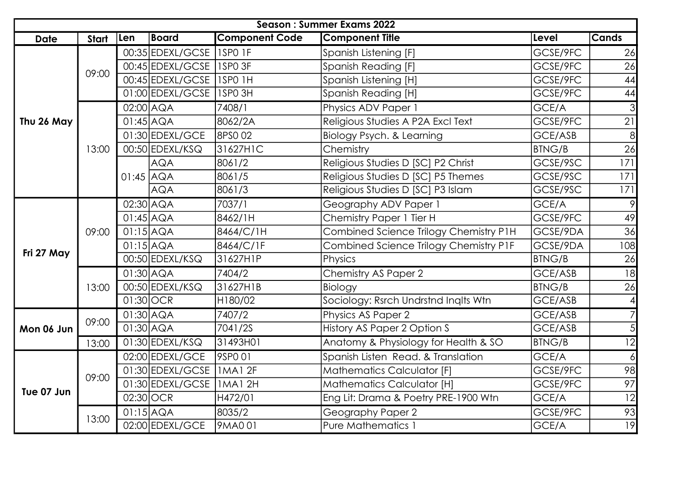| <b>Season: Summer Exams 2022</b> |       |                        |                            |                       |                                        |                             |                 |
|----------------------------------|-------|------------------------|----------------------------|-----------------------|----------------------------------------|-----------------------------|-----------------|
| <b>Date</b>                      | Start | Len                    | <b>Board</b>               | <b>Component Code</b> | <b>Component Title</b>                 | Level                       | <b>Cands</b>    |
|                                  | 09:00 |                        | 00:35 EDEXL/GCSE           | ISPO IF               | Spanish Listening [F]                  | GCSE/9FC                    | 26              |
|                                  |       |                        | 00:45 EDEXL/GCSE           | ISPO 3F               | Spanish Reading [F]                    | GCSE/9FC                    | 26              |
|                                  |       |                        | 00:45 EDEXL/GCSE           | <b>ISPO 1H</b>        | Spanish Listening [H]                  | GCSE/9FC                    | 44              |
|                                  |       |                        | 01:00 EDEXL/GCSE           | 1SPO 3H               | Spanish Reading [H]                    | GCSE/9FC                    | 44              |
|                                  |       | $02:00$ AQA            |                            | 7408/1                | Physics ADV Paper 1                    | GCE/A                       |                 |
| Thu 26 May                       |       | $01:45$ $AQA$          |                            | 8062/2A               | Religious Studies A P2A Excl Text      | GCSE/9FC                    | 21              |
|                                  |       |                        | 01:30 EDEXL/GCE            | 8PS0 02               | Biology Psych. & Learning              | GCE/ASB                     | 8 <sup>l</sup>  |
|                                  | 13:00 |                        | 00:50 EDEXL/KSQ            | 31627H1C              | Chemistry                              | <b>BTNG/B</b>               | 26              |
|                                  |       | $01:45$ AQA            | <b>AQA</b>                 | 8061/2                | Religious Studies D [SC] P2 Christ     | GCSE/9SC                    | 171             |
|                                  |       |                        |                            | 8061/5                | Religious Studies D [SC] P5 Themes     | GCSE/9SC                    | 171             |
|                                  |       |                        | <b>AQA</b>                 | 8061/3                | Religious Studies D [SC] P3 Islam      | GCSE/9SC                    | 171             |
|                                  | 09:00 | $\overline{02:30}$ AQA |                            | 7037/1                | Geography ADV Paper 1                  | GCE/A                       | 9               |
|                                  |       | $01:45$ $AQA$          |                            | 8462/1H               | Chemistry Paper 1 Tier H               | GCSE/9FC                    | 49              |
|                                  |       | $01:15$ $AQA$          |                            | 8464/C/1H             | Combined Science Trilogy Chemistry P1H | GCSE/9DA                    | $\overline{36}$ |
| Fri 27 May                       |       | $01:15$ $AQA$          |                            | 8464/C/1F             | Combined Science Trilogy Chemistry P1F | GCSE/9DA                    | 108             |
|                                  |       |                        | 00:50 EDEXL/KSQ            | 31627H1P              | Physics                                | <b>BTNG/B</b>               | 26              |
|                                  |       | $01:30$ $AQA$          |                            | 7404/2                | Chemistry AS Paper 2                   | GCE/ASB                     | 18              |
|                                  | 13:00 |                        | 00:50 EDEXL/KSQ            | 31627H1B              | Biology                                | <b>BTNG/B</b>               | $\overline{26}$ |
|                                  |       | $01:30$ OCR            |                            | H180/02               | Sociology: Rsrch Undrstnd Inglts Wtn   | GCE/ASB                     |                 |
|                                  | 09:00 | $01:30$ $AQA$          |                            | 7407/2                | Physics AS Paper 2                     | GCE/ASB                     |                 |
| Mon 06 Jun                       |       |                        | $01:30$ $AQA$              |                       | 7041/2S                                | History AS Paper 2 Option S | GCE/ASB         |
|                                  | 13:00 |                        | 01:30 EDEXL/KSQ            | 31493H01              | Anatomy & Physiology for Health & SO   | <b>BTNG/B</b>               | $\overline{12}$ |
|                                  |       |                        | 02:00 EDEXL/GCE            | 9SPO 01               | Spanish Listen Read. & Translation     | GCE/A                       |                 |
|                                  | 09:00 |                        | 01:30 EDEXL/GCSE   1MA1 2F |                       | Mathematics Calculator [F]             | GCSE/9FC                    | 98              |
| Tue 07 Jun                       |       |                        | 01:30 EDEXL/GCSE           | <b>IMA12H</b>         | <b>Mathematics Calculator [H]</b>      | GCSE/9FC                    | 97              |
|                                  |       | 02:30 OCR              |                            | H472/01               | Eng Lit: Drama & Poetry PRE-1900 Wtn   | GCE/A                       | $\overline{12}$ |
|                                  | 13:00 | $01:15$ $AQA$          |                            | 8035/2                | Geography Paper 2                      | GCSE/9FC                    | 93              |
|                                  |       |                        | 02:00 EDEXL/GCE            | 9MA001                | <b>Pure Mathematics 1</b>              | GCE/A                       | $\overline{19}$ |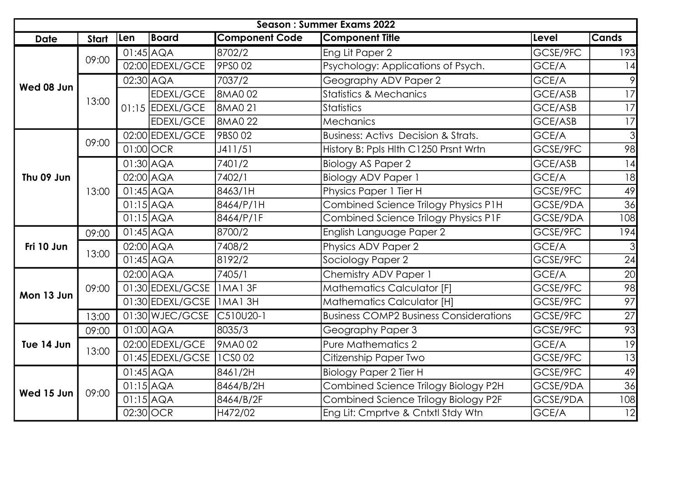| <b>Season: Summer Exams 2022</b> |       |                        |                  |                             |                                                |                                   |                 |                 |
|----------------------------------|-------|------------------------|------------------|-----------------------------|------------------------------------------------|-----------------------------------|-----------------|-----------------|
| <b>Date</b>                      | Start | Len                    | Board            | <b>Component Code</b>       | <b>Component Title</b>                         | Level                             | <b>Cands</b>    |                 |
| Wed 08 Jun                       | 09:00 | $01:45$ $AQA$          |                  | 8702/2                      | Eng Lit Paper 2                                | GCSE/9FC                          | 193             |                 |
|                                  |       |                        | 02:00 EDEXL/GCE  | 9PS0 02                     | Psychology: Applications of Psych.             | GCE/A                             |                 |                 |
|                                  |       | $02:30$ $AQA$          |                  | 7037/2                      | Geography ADV Paper 2                          | GCE/A                             |                 |                 |
|                                  | 13:00 |                        | <b>EDEXL/GCE</b> | 8MA002                      | <b>Statistics &amp; Mechanics</b>              | GCE/ASB                           | 17              |                 |
|                                  |       |                        | 01:15 EDEXL/GCE  | 8MA0 21                     | <b>Statistics</b>                              | GCE/ASB                           | 17              |                 |
|                                  |       |                        | <b>EDEXL/GCE</b> | 8MA0 22                     | Mechanics                                      | GCE/ASB                           | $\overline{17}$ |                 |
|                                  | 09:00 |                        | 02:00 EDEXL/GCE  | 9BSO 02                     | <b>Business: Activs Decision &amp; Strats.</b> | GCE/A                             | $\overline{3}$  |                 |
|                                  |       | $01:00$ OCR            |                  | J411/51                     | History B: Ppls Hlth C1250 Prsnt Wrtn          | GCSE/9FC                          | $\overline{98}$ |                 |
|                                  |       | $01:30$ $AQA$          |                  | 7401/2                      | Biology AS Paper 2                             | GCE/ASB                           | 14              |                 |
| Thu 09 Jun                       |       | 02:00 AQA              |                  | 7402/1                      | <b>Biology ADV Paper 1</b>                     | GCE/A                             | 18              |                 |
|                                  | 13:00 |                        | $01:45$ $AQA$    |                             | 8463/1H                                        | Physics Paper 1 Tier H            | GCSE/9FC        | 49              |
|                                  |       | $01:15$ $AQA$          |                  | 8464/P/1H                   | Combined Science Trilogy Physics P1H           | GCSE/9DA                          | 36              |                 |
|                                  |       | $01:15$ $AQA$          |                  | 8464/P/1F                   | Combined Science Trilogy Physics P1F           | GCSE/9DA                          | 108             |                 |
|                                  | 09:00 | $01:45$ $AQA$          |                  | 8700/2                      | English Language Paper 2                       | GCSE/9FC                          | 194             |                 |
| Fri 10 Jun                       |       | 02:00 AQA              |                  | 7408/2                      | Physics ADV Paper 2                            | GCE/A                             |                 |                 |
|                                  | 13:00 | $01:45$ $AQA$          |                  | 8192/2                      | Sociology Paper 2                              | GCSE/9FC                          | 24              |                 |
|                                  | 09:00 | $\overline{02:}00$ AQA |                  | 7405/1                      | Chemistry ADV Paper 1                          | GCE/A                             | 20              |                 |
|                                  |       |                        | 01:30 EDEXL/GCSE | IMAI3F                      | <b>Mathematics Calculator [F]</b>              | GCSE/9FC                          | 98              |                 |
| Mon 13 Jun                       |       |                        |                  | 01:30 EDEXL/GCSE   1 MA1 3H |                                                | <b>Mathematics Calculator [H]</b> | GCSE/9FC        | $\overline{97}$ |
|                                  | 13:00 |                        | 01:30 WJEC/GCSE  | C510U20-1                   | <b>Business COMP2 Business Considerations</b>  | GCSE/9FC                          | $\overline{27}$ |                 |
|                                  | 09:00 | $01:00$ $AQA$          |                  | 8035/3                      | Geography Paper 3                              | GCSE/9FC                          | 93              |                 |
| Tue 14 Jun                       | 13:00 |                        | 02:00 EDEXL/GCE  | 9MA002                      | Pure Mathematics 2                             | GCE/A                             | $\overline{19}$ |                 |
|                                  |       |                        | 01:45 EDEXL/GCSE | $\vert$ 1 CSO 02            | Citizenship Paper Two                          | GCSE/9FC                          | $\overline{13}$ |                 |
| Wed 15 Jun                       | 09:00 | $01:45$ $AQA$          |                  | 8461/2H                     | <b>Biology Paper 2 Tier H</b>                  | GCSE/9FC                          | 49              |                 |
|                                  |       | $01:15$ $AQA$          |                  | 8464/B/2H                   | Combined Science Trilogy Biology P2H           | GCSE/9DA                          | $\overline{36}$ |                 |
|                                  |       | $01:15$ $AQA$          |                  | 8464/B/2F                   | Combined Science Trilogy Biology P2F           | GCSE/9DA                          | 108             |                 |
|                                  |       | 02:30 OCR              |                  | H472/02                     | Eng Lit: Cmprtve & Cntxtl Stdy Wtn             | GCE/A                             | $\overline{12}$ |                 |